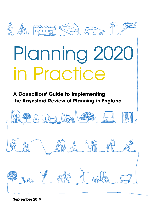

# Planning 2020 in Practice

**A Councillors' Guide to Implementing the Raynsford Review of Planning in England**



**September 2019**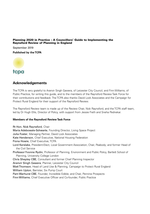#### **Planning 2020 in Practice – A Councillors' Guide to Implementing the Raynsford Review of Planning in England**

September 2019

**Published by the TCPA**



#### **Acknowledgements**

The TCPA is very grateful to Aranvir Singh Gawera, of Leicester City Council, and Finn Williams, of Public Practice, for writing this guide, and to the members of the Raynsford Review Task Force for their contributions and feedback. The TCPA also thanks David Lock Associates and the Campaign for Protect Rural England for their support of the Raynsford Review.

The Raynsford Review team is made up of the Review Chair, Nick Raynsford, and the TCPA staff team, led by Dr Hugh Ellis, Director of Policy, with support from Jessie Fieth and Sneha Pednekar.

#### **Members of the Raynsford Review Task Force**

Rt Hon. Nick Raynsford, Chair Maria Adebowale-Schwarte, Founding Director, Living Space Project Julia Foster, Managing Partner, David Lock Associates Kate Henderson, Chief Executive, National Housing Federation Fiona Howie, Chief Executive, TCPA Lord Kerslake, President-Elect, Local Government Association; Chair, Peabody; and former Head of the Civil Service Professor Yvonne Rydin, Professor of Planning, Environment and Public Policy, Bartlett School of Planning, University College London Chris Shepley CBE, Consultant and former Chief Planning Inspector Aranvir Singh Gawera, Planner, Leicester City Council Matt Thomson, Head of Land Use & Planning, Campaign to Protect Rural England William Upton, Barrister, Six Pump Court Pam Warhurst CBE, Founder, Incredible Edible; and Chair, Pennine Prospects Finn Williams, Chief Executive Officer and Co-founder, Public Practice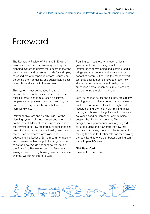# Foreword

The Raynsford Review of Planning in England provides a roadmap for remaking the English planning system to deliver the outcomes that the country needs and deserves. It calls for a simpler, fairer and more transparent system, focused on delivering the high-quality and sustainable places in which we all aspire to live and work.

This system must be founded in strong democratic accountability, it must work in the public interest, and it must enable positive, people-centred planning capable of tackling the complex and urgent challenges that we increasingly face.

Delivering this root-and-branch review of the planning system will not be easy, and reform will not be instant. Many of the recommendations in the Raynsford Review report require concerted and co-ordinated action across national government, the built environment professions, and educational institutions. Some recommendations are, however, within the gift of local government to act on now. We do not need to wait to put the Raynsford Review into action. Faced with emergencies including housing need and climate change, we cannot afford to wait.

Planning connects every function of local government, from housing, employment and infrastructure to wellbeing and learning, and it brings social, economic and environmental benefit to communities. It is the most powerful tool that local authorities have to proactively shape the future of a place. Equally, local authorities play a fundamental role in shaping and delivering the planning system.

Local authorities across the country are already starting to show what a better planning system could look like at a local level. Through bold leadership, and exemplary plan-making, placemaking and housebuilding, local authorities are delivering good outcomes for communities despite the challenging context. This guide is designed to support councillors in going further towards putting the Raynsford Review into practice. Ultimately, there is no better way of making the case for further reforms than proving the positive difference that better planning can make to people's lives.

#### **Nick Raynsford**

President of the TCPA

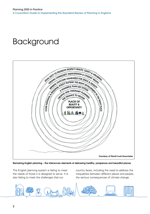# Background



**Remaking English planning – the interwoven elements of delivering healthy, prosperous and beautiful places**

The English planning system is failing to meet the needs of those it is designed to serve. It is also failing to meet the challenges that our

country faces, including the need to address the inequalities between different places and people, the serious consequences of climate change,

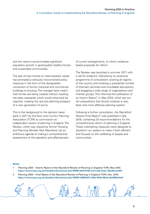and the need to accommodate significant population growth in good-quality healthy homes and sustainable communities.

The lack of new homes to meet people's needs has prompted a seriously misconceived policy response in the form of the deregulated conversion of former industrial and commercial buildings to housing. The changes have meant that homes are being created without meeting the basic standards which would otherwise be required, creating the real and alarming prospect of a new generation of slums.

This is the background to the decision taken early in 2017 by the Town and Country Planning Association (TCPA) to commission an independent review of planning in England. The Review, which was chaired by former Housing and Planning Minister Nick Raynsford, set an ambitious agenda of making a comprehensive assessment of the operation and effectiveness

of current arrangements, to inform evidencebased proposals for reform.

The Review was launched in summer 2017 with a call for evidence, followed by an extensive programme of consultation covering all regions of the country and involving a substantial number of thematic seminars and roundtable discussions, and engaging a wide range of organisations and interest groups. This informed the publication of an Interim Report<sup>1</sup> in May 2018, which set out ten propositions that should underpin a new, fairer and more effective planning system.

Following a further consultation, the Raynsford Review Final Report<sup>2</sup> was published in late 2018, containing 24 recommendations for the comprehensive reform of planning in England. These interlocking measures were designed to transform our system to make it both efficient and focused on the wellbeing of people and communities.

#### **Notes**

- 1 Planning 2020 Interim Report of the Raynsford Review of Planning in England. TCPA, May 2018. **https://www.tcpa.org.uk/Handlers/Download.ashx?IDMF=8c619109-a721-4efc-8eac-c9ba8ecee4b5**
- 2 Planning 2020 Final Report of the Raynsford Review of Planning in England. TCPA, Nov. 2018. **https://www.tcpa.org.uk/Handlers/Download.ashx?IDMF=30864427-d8dc-4b0b-88ed-c6e0f08c0edd**

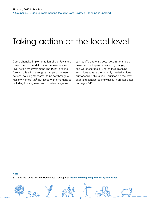# Taking action at the local level

Comprehensive implementation of the Raynsford Review recommendations will require national level action by government. The TCPA is taking forward this effort through a campaign for new national housing standards, to be set through a [Healthy Homes Act.](https://www.tcpa.org.uk/healthy-homes-act)3 But faced with emergencies including housing need and climate change we

cannot afford to wait. Local government has a powerful role to play in delivering change, and we encourage all English local planning authorities to take the urgently needed actions put forward in this guide – outlined on the next page and considered individually in greater detail on pages 6-12.

#### **Note**

3 See the TCPA's 'Healthy Homes Act' webpage, at **https://www.tcpa.org.uk/healthy-homes-act**

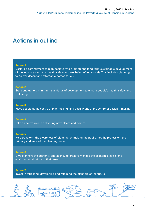### **Actions in outline**

#### **Action 1**

Declare a commitment to plan positively to promote the long-term sustainable development of the local area and the health, safety and wellbeing of individuals. This includes planning to deliver decent and affordable homes for all.

#### **Action 2**

State and uphold minimum standards of development to ensure people's health, safety and wellbeing.

#### **Action 3**

Place people at the centre of plan-making, and Local Plans at the centre of decision-making.

#### **Action 4**

Take an active role in delivering new places and homes.

#### **Action 5**

Help transform the awareness of planning by making the public, not the profession, the primary audience of the planning system.

#### **Action 6**

Give planners the authority and agency to creatively shape the economic, social and environmental future of their area.

#### **Action 7**

Invest in attracting, developing and retaining the planners of the future.

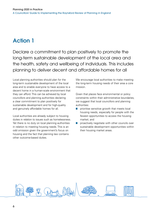Declare a commitment to plan positively to promote the long-term sustainable development of the local area and the health, safety and wellbeing of individuals. This includes planning to deliver decent and affordable homes for all

Local planning authorities should plan for the long-term sustainable development of the local area and to enable everyone to have access to a decent home in a human-scale environment that they can afford. This can be achieved by local councillors and planning authorities declaring a clear commitment to plan positively for sustainable development and for high-quality and genuinely affordable homes for all.

Local authorities are already subject to housing duties in relation to issues such as homelessness. Yet there is no duty on local planning authorities in relation to meeting housing needs. This is an odd omission given the government's focus on housing and the fact that planning law contains other outcome-based duties.

We encourage local authorities to make meeting the long-term housing needs of their area a core mission.

Given that places face environmental or policy constraints within their administrative boundaries, we suggest that local councillors and planning authorities:

- prioritise sensitive growth that meets local housing needs, especially for people with the fewest opportunities to access the housing market; and
- proactively negotiate with other councils over sustainable development opportunities within their housing market areas.

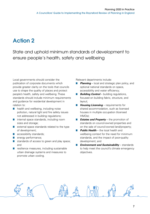State and uphold minimum standards of development to ensure people's health, safety and wellbeing

Local governments should consider the publication of corporate documents which provide greater clarity on the tools that councils use to shape the quality of places and protect people's health, safety and wellbeing. These standards should include minimum requirements and guidance for residential development in relation to:

- health and wellbeing, including noise pollution, natural light and fire safety issues not addressed in building regulations;
- internal space standards, including room sizes and storage;
- external space standards related to the type of development;
- accessibility standards;
- energy performance;
- standards of access to green and play space; and
- resilience measures, including sustainable urban drainage systems and measures to promote urban cooling.

Relevant departments include:

- **Planning** local and strategic plan policy, and optional national standards on space, accessibility and water efficiency;
- **Building Control** building regulations, focused on building fabric, structure, and layout;
- **Housing Licensing** requirements for shared accommodation, such as licensed houses in multiple occupation (licensed HMOs);
- *Estates and Property* the promotion of standards on council-owned properties and on the sale of council-owned land/property;
- **Public Health** the local health and wellbeing context for the need for minimum standards, and the impact of poor-quality development; and
- *Environment and Sustainability* standards to help meet the council's climate emergency objectives.

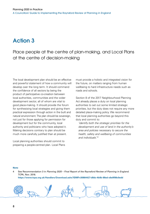Place people at the centre of plan-making, and Local Plans at the centre of decision-making

The local development plan should be an effective and powerful statement of how a community will develop over the long term. It should command the confidence of all sectors by being the product of participative co-creation between local authorities, communities and the wider development sector, all of whom are vital to good place-making. It should provide the forum for synthesising local strategies and giving them practical expression through action in the built and natural environment. The plan should be sovereign, not just for those applying for permission for development but for the community, local authority and politicians who have adopted it. Making decisions contrary to plan should be much more carefully justified than at present.

Local planning authorities should commit to preparing a people-centred plan. Local Plans must provide a holistic and integrated vision for the future, on matters ranging from human wellbeing to hard infrastructure needs such as roads and schools.

Section 8 of the 2017 Neighbourhood Planning Act already places a duty on local planning authorities to set out some limited strategic priorities, but the duty does not require any more detailed place-making policy. We recommend that local planning authorities go beyond this duty and commit to:

'identify both the strategic priorities for the development and use of land in the authority's area and policies necessary to secure the health, safety and wellbeing of communities and individuals'.4

#### **Note**

4 See Recommendation 3 in Planning 2020 – Final Report of the Raynsford Review of Planning in England. TCPA, Nov. 2018.

**https://www.tcpa.org.uk/Handlers/Download.ashx?IDMF=30864427-d8dc-4b0b-88ed-c6e0f08c0edd**

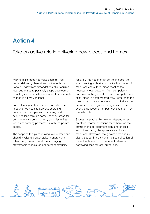### Take an active role in delivering new places and homes

Making plans does not make people's lives better; delivering them does. In line with the Letwin Review recommendations, this requires local authorities to positively shape development by acting as the 'master-developer' to co-ordinate change in a timely manner.

Local planning authorities need to participate in council-led housing delivery, operating development companies, purchasing land, acquiring land through compulsory purchase for comprehensive development, commissioning work, and forming partnerships with the private sector.

The scope of this place-making role is broad and should involve a greater stake in energy and other utility provision and in encouraging stewardship models for long-term community

renewal. This notion of an active and positive local planning authority is principally a matter of resources and culture, since most of the necessary legal powers – from compulsory purchase to the general power of competence – exist, albeit in a fragmented way. Sometimes this means that local authorities should prioritise the delivery of public goods through development over the achievement of best consideration from the sale of land.

Success in playing this role will depend on action on other recommendations made here, on the status of the development plan, and on local authorities having the appropriate skills and resources. However, local government should clearly set out in policy an ambitious direction of travel that builds upon the recent relaxation of borrowing caps for local authorities.

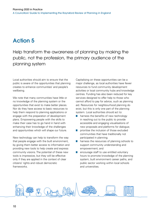Help transform the awareness of planning by making the public, not the profession, the primary audience of the planning system

Local authorities should aim to ensure that the public is aware of the opportunities that planning creates to enhance communities' and people's wellbeing.

We note that many communities have little or no knowledge of the planning system or the opportunities that exist to make better places. Nor do they have access to basic resources to help them respond to planning applications or engage with the preparation of development plans. Empowering people with the skills to make their case has to go hand in hand with enhancing their knowledge of the challenges and opportunities which will shape our future.

New technology can help to transform the way that people engage with the built environment, by giving them better access to information and providing new tools to help create and express community visions. The potential of these new tools is impressive, but they will be effective only if they are applied in the context of clear citizens' rights and robust democratic frameworks.

Capitalising on these opportunities can be a major challenge, as local authorities have fewer resources to fund community development activities or local community hubs and knowledge centres. Funding has also been reduced for key services designed to offer help to those who cannot afford to pay for advice, such as planning aid. Resources for neighbourhood planning do exist, but this is only one part of the planning system. Local authorities should act to:

- harness the benefits of new technology in reaching out to the public to provide accessible and engaging visualisations of new proposals and platforms for dialogue;
- prioritise the inclusion of those excluded communities that have traditionally not participated in planning;
- harness the resources of planning schools to support community understanding and empowerment; and
- encourage staff to use entitled voluntary hours to promote knowledge of the planning system, built environment career paths, and public sector working within local schools and universities.

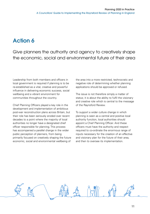Give planners the authority and agency to creatively shape the economic, social and environmental future of their area

Leadership from both members and officers in local government is required if planning is to be re-established as a vital, creative and powerful influence in delivering economic success, social wellbeing and a vibrant environment for communities throughout the country.

Chief Planning Officers played a key role in the development and implementation of ambitious post-war reconstruction plans across Britain, but their role has been seriously eroded over recent decades to a point where the majority of local authorities no longer have a designated chief officer responsible for planning. This process has accompanied a parallel change in the wider public perception of planners, from being primarily focused on creatively shaping the future economic, social and environmental wellbeing of

the area into a more restricted, technocratic and negative role of determining whether planning applications should be approved or refused.

The issue is not therefore simply a matter of status; it is about the ability to fulfil the visionary and creative role which is central to the message of the Raynsford Review.

To support a wider culture change in which planning is seen as a central and positive local authority function, local authorities should appoint a Chief Planning Officer. And these officers must have the authority and respect required to co-ordinate the enormous range of inputs necessary for the creation of an effective and visionary plan for the future of their area, and then to oversee its implementation.

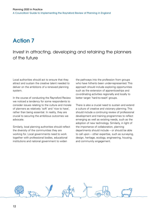Invest in attracting, developing and retaining the planners of the future

Local authorities should act to ensure that they attract and sustain the creative talent needed to deliver on the ambitions of a renewed planning system.

In the course of conducting the Raynsford Review we noticed a tendency for some respondents to consider issues relating to the culture and morale of planners as relatively 'soft' and 'nice to have', rather than being essential. In reality, they are crucial to securing the ambitious outcomes we advocate.

Similarly, local planning authorities should reflect the diversity of the communities they are working for. Local governments need to work together with professional bodies, educational institutions and national government to widen

the pathways into the profession from groups who have hitherto been under-represented. This approach should include exploring opportunities such as the extension of apprenticeships and co-ordinating activities regionally and locally to better target 'hard-to-reach' groups.

There is also a crucial need to sustain and extend a culture of creative and visionary planning. This should include a continuing review of professional development and training programmes to reflect emerging as well as existing needs, such as the adoption of new technology. Similarly, in light of the importance of collaboration, planning departments should include – or should be able to call upon – other expertise, such as surveying, design, heritage, ecology, engineering, housing, and community engagement.

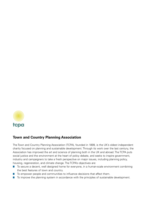

#### **Town and Country Planning Association**

The Town and Country Planning Association (TCPA), founded in 1899, is the UK's oldest independent charity focused on planning and sustainable development. Through its work over the last century, the Association has improved the art and science of planning both in the UK and abroad. The TCPA puts social justice and the environment at the heart of policy debate, and seeks to inspire government, industry and campaigners to take a fresh perspective on major issues, including planning policy, housing, regeneration, and climate change. The TCPA's objectives are:

- To secure a decent, well designed home for everyone, in a human-scale environment combining the best features of town and country.
- To empower people and communities to influence decisions that affect them.
- To improve the planning system in accordance with the principles of sustainable development.